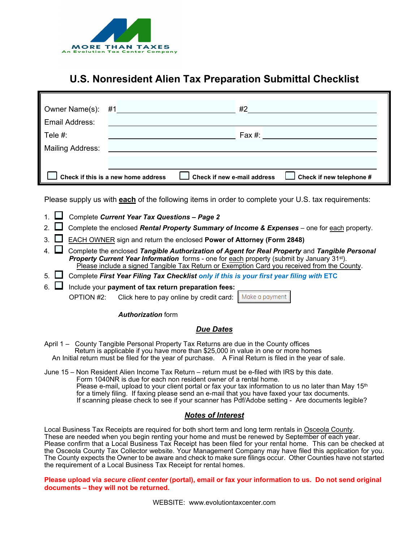

## **U.S. Nonresident Alien Tax Preparation Submittal Checklist**

|                                     |  | #2                          |                                             |
|-------------------------------------|--|-----------------------------|---------------------------------------------|
| Email Address:                      |  |                             |                                             |
| Tele #:                             |  |                             | $\mathsf{F}$ ax #: $\mathsf{F}$             |
| Mailing Address:                    |  |                             |                                             |
|                                     |  |                             |                                             |
| Check if this is a new home address |  | Check if new e-mail address | $\mathsfsfJ}$ Check if new telephone #<br>L |

Please supply us with **each** of the following items in order to complete your U.S. tax requirements:

- 1. Complete *Current Year Tax Questions Page <sup>2</sup>*
- 2. Complete the enclosed *Rental Property Summary of Income & Expenses* one for each property.
- 3. EACH OWNER sign and return the enclosed **Power of Attorney (Form 2848)**
- 4. Complete the enclosed *Tangible Authorization of Agent for Real Property* and *Tangible Personal Property Current Year Information* forms - one for each property (submit by January 31<sup>st</sup>). Please include a signed Tangible Tax Return or Exemption Card you received from the County.
- 5. Complete *First Year Filing Tax Checklist only if this is your first year filing with* **ETC**
- 6. Include your **payment of tax return preparation fees:**

OPTION #2: Click here to pay online by credit card: Make a payment

#### *Authorization* form

#### *Due Dates*

- April 1 County Tangible Personal Property Tax Returns are due in the County offices Return is applicable if you have more than \$25,000 in value in one or more homes An Initial return must be filed for the year of purchase. A Final Return is filed in the year of sale.
- June 15 Non Resident Alien Income Tax Return return must be e-filed with IRS by this date. Form 1040NR is due for each non resident owner of a rental home. Please e-mail, upload to your client portal or fax your tax information to us no later than May 15<sup>th</sup> for a timely filing. If faxing please send an e-mail that you have faxed your tax documents. If scanning please check to see if your scanner has Pdf/Adobe setting - Are documents legible?

#### *Notes of Interest*

Local Business Tax Receipts are required for both short term and long term rentals in Osceola County. These are needed when you begin renting your home and must be renewed by September of each year. Please confirm that a Local Business Tax Receipt has been filed for your rental home. This can be checked at the Osceola County Tax Collector website. Your Management Company may have filed this application for you. The County expects the Owner to be aware and check to make sure filings occur. Other Counties have not started the requirement of a Local Business Tax Receipt for rental homes.

**Please upload via** *secure client center* **(portal), email or fax your information to us. Do not send original documents – they will not be returned.** 

WEBSITE: www.evolutiontaxcenter.com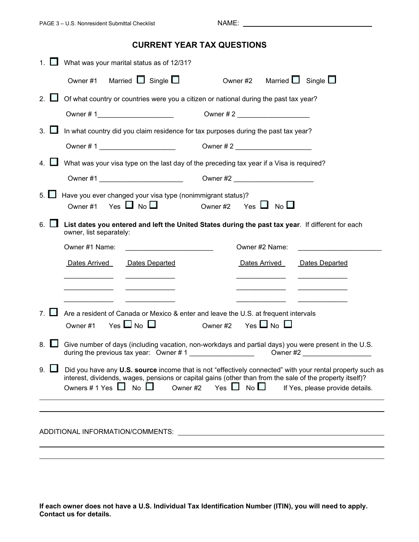### **CURRENT YEAR TAX QUESTIONS**

|                | What was your marital status as of 12/31?                                                       |                                                                                                                                                                                                                                                                                  |
|----------------|-------------------------------------------------------------------------------------------------|----------------------------------------------------------------------------------------------------------------------------------------------------------------------------------------------------------------------------------------------------------------------------------|
|                | Married $\Box$ Single $\Box$<br>Owner #1                                                        | Owner #2 Married $\Box$ Single $\Box$                                                                                                                                                                                                                                            |
| 2 <sub>1</sub> | Of what country or countries were you a citizen or national during the past tax year?           |                                                                                                                                                                                                                                                                                  |
|                |                                                                                                 |                                                                                                                                                                                                                                                                                  |
| $3_{-}$        | In what country did you claim residence for tax purposes during the past tax year?              |                                                                                                                                                                                                                                                                                  |
|                |                                                                                                 |                                                                                                                                                                                                                                                                                  |
|                | What was your visa type on the last day of the preceding tax year if a Visa is required?        |                                                                                                                                                                                                                                                                                  |
|                |                                                                                                 |                                                                                                                                                                                                                                                                                  |
| 5. $\Box$      | Have you ever changed your visa type (nonimmigrant status)?<br>Yes $\Box$ No $\Box$<br>Owner #1 | Owner #2 Yes $\Box$ No $\Box$                                                                                                                                                                                                                                                    |
| 6.             | owner, list separately:                                                                         | List dates you entered and left the United States during the past tax year. If different for each                                                                                                                                                                                |
|                | Owner #1 Name:                                                                                  | Owner #2 Name:                                                                                                                                                                                                                                                                   |
|                | Dates Arrived<br>Dates Departed                                                                 | Dates Arrived<br>Dates Departed                                                                                                                                                                                                                                                  |
|                |                                                                                                 |                                                                                                                                                                                                                                                                                  |
|                |                                                                                                 |                                                                                                                                                                                                                                                                                  |
|                | Are a resident of Canada or Mexico & enter and leave the U.S. at frequent intervals             |                                                                                                                                                                                                                                                                                  |
|                | Yes $\Box$ No $\Box$<br>Owner #1                                                                | $Yes \Box No \Box$<br>Owner #2                                                                                                                                                                                                                                                   |
| 8.             | during the previous tax year: Owner #1                                                          | Give number of days (including vacation, non-workdays and partial days) you were present in the U.S.<br>Owner #2                                                                                                                                                                 |
| 9.             | $No$ $\Box$<br>Owners # 1 Yes $\Box$<br>Owner #2                                                | Did you have any U.S. source income that is not "effectively connected" with your rental property such as<br>interest, dividends, wages, pensions or capital gains (other than from the sale of the property itself)?<br>Yes $\Box$ No $\Box$<br>If Yes, please provide details. |
|                |                                                                                                 |                                                                                                                                                                                                                                                                                  |
|                |                                                                                                 |                                                                                                                                                                                                                                                                                  |
|                | ADDITIONAL INFORMATION/COMMENTS:                                                                |                                                                                                                                                                                                                                                                                  |
|                |                                                                                                 |                                                                                                                                                                                                                                                                                  |

**If each owner does not have a U.S. Individual Tax Identification Number (ITIN), you will need to apply. Contact us for details.**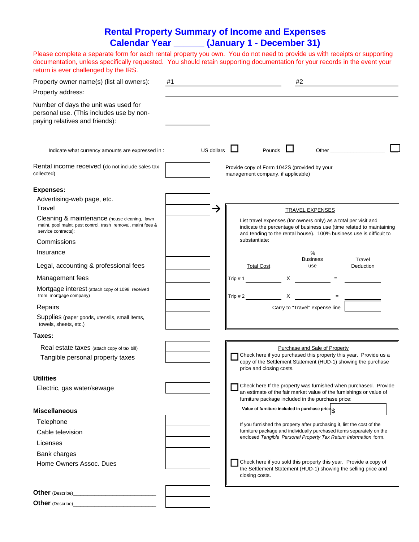### **Rental Property Summary of Income and Expenses Calendar Year \_\_\_\_\_\_ (January 1 - December 31)**

Please complete a separate form for each rental property you own. You do not need to provide us with receipts or supporting documentation, unless specifically requested. You should retain supporting documentation for your records in the event your return is ever challenged by the IRS.

| Property owner name(s) (list all owners):<br>Property address:                                                                      | #1 |            |                                    |                          | #2 |                                                   |                                                                                                                                                                                                                                                                                   |  |
|-------------------------------------------------------------------------------------------------------------------------------------|----|------------|------------------------------------|--------------------------|----|---------------------------------------------------|-----------------------------------------------------------------------------------------------------------------------------------------------------------------------------------------------------------------------------------------------------------------------------------|--|
| Number of days the unit was used for<br>personal use. (This includes use by non-<br>paying relatives and friends):                  |    |            |                                    |                          |    |                                                   |                                                                                                                                                                                                                                                                                   |  |
| Indicate what currency amounts are expressed in :                                                                                   |    | US dollars |                                    | Pounds                   |    |                                                   |                                                                                                                                                                                                                                                                                   |  |
| Rental income received (do not include sales tax<br>collected)                                                                      |    |            | management company, if applicable) |                          |    | Provide copy of Form 1042S (provided by your      |                                                                                                                                                                                                                                                                                   |  |
| <b>Expenses:</b>                                                                                                                    |    |            |                                    |                          |    |                                                   |                                                                                                                                                                                                                                                                                   |  |
| Advertising-web page, etc.                                                                                                          |    |            |                                    |                          |    |                                                   |                                                                                                                                                                                                                                                                                   |  |
| Travel                                                                                                                              |    | →          |                                    |                          |    | <b>TRAVEL EXPENSES</b>                            |                                                                                                                                                                                                                                                                                   |  |
| Cleaning & maintenance (house cleaning, lawn<br>maint, pool maint, pest control, trash removal, maint fees &<br>service contracts): |    |            |                                    |                          |    |                                                   | List travel expenses (for owners only) as a total per visit and<br>indicate the percentage of business use (time related to maintaining<br>and tending to the rental house). 100% business use is difficult to                                                                    |  |
| Commissions                                                                                                                         |    |            | substantiate:                      |                          |    |                                                   |                                                                                                                                                                                                                                                                                   |  |
| Insurance                                                                                                                           |    |            |                                    |                          |    | %                                                 |                                                                                                                                                                                                                                                                                   |  |
| Legal, accounting & professional fees                                                                                               |    |            |                                    | <b>Total Cost</b>        |    | <b>Business</b><br>use                            | Travel<br>Deduction                                                                                                                                                                                                                                                               |  |
| Management fees                                                                                                                     |    |            | Trip $# 1$                         |                          |    |                                                   | $X \sim 1$ = $\sim 1$ = $\sim 1$ = $\sim 1$ = $\sim 1$ = $\sim 1$ = $\sim 1$ = $\sim 1$ = $\sim 1$ = $\sim 1$ = $\sim 1$ = $\sim 1$ = $\sim 1$ = $\sim 1$ = $\sim 1$ = $\sim 1$ = $\sim 1$ = $\sim 1$ = $\sim 1$ = $\sim 1$ = $\sim 1$ = $\sim 1$ = $\sim 1$ = $\sim 1$ = $\sim $ |  |
| Mortgage interest (attach copy of 1098 received<br>from mortgage company)                                                           |    |            | Trip $# 2$                         |                          |    | $X \t =$                                          |                                                                                                                                                                                                                                                                                   |  |
| Repairs                                                                                                                             |    |            |                                    |                          |    | Carry to "Travel" expense line                    |                                                                                                                                                                                                                                                                                   |  |
| Supplies (paper goods, utensils, small items,<br>towels, sheets, etc.)                                                              |    |            |                                    |                          |    |                                                   |                                                                                                                                                                                                                                                                                   |  |
| Taxes:                                                                                                                              |    |            |                                    |                          |    |                                                   |                                                                                                                                                                                                                                                                                   |  |
| Real estate taxes (attach copy of tax bill)                                                                                         |    |            |                                    |                          |    | Purchase and Sale of Property                     |                                                                                                                                                                                                                                                                                   |  |
| Tangible personal property taxes                                                                                                    |    |            |                                    | price and closing costs. |    |                                                   | Check here if you purchased this property this year. Provide us a<br>copy of the Settlement Statement (HUD-1) showing the purchase                                                                                                                                                |  |
| Utilities                                                                                                                           |    |            |                                    |                          |    |                                                   |                                                                                                                                                                                                                                                                                   |  |
| Electric, gas water/sewage                                                                                                          |    |            |                                    |                          |    | furniture package included in the purchase price: | Check here If the property was furnished when purchased. Provide<br>an estimate of the fair market value of the furnishings or value of                                                                                                                                           |  |
| <b>Miscellaneous</b>                                                                                                                |    |            |                                    |                          |    | Value of furniture included in purchase price     |                                                                                                                                                                                                                                                                                   |  |
| Telephone                                                                                                                           |    |            |                                    |                          |    |                                                   |                                                                                                                                                                                                                                                                                   |  |
| Cable television                                                                                                                    |    |            |                                    |                          |    |                                                   | If you furnished the property after purchasing it, list the cost of the<br>furniture package and individually purchased items separately on the                                                                                                                                   |  |
| Licenses                                                                                                                            |    |            |                                    |                          |    |                                                   | enclosed Tangible Personal Property Tax Return Information form.                                                                                                                                                                                                                  |  |
| Bank charges                                                                                                                        |    |            |                                    |                          |    |                                                   |                                                                                                                                                                                                                                                                                   |  |
| Home Owners Assoc. Dues                                                                                                             |    |            |                                    | closing costs.           |    |                                                   | Check here if you sold this property this year. Provide a copy of<br>the Settlement Statement (HUD-1) showing the selling price and                                                                                                                                               |  |
| <b>Other</b> (Describe)                                                                                                             |    |            |                                    |                          |    |                                                   |                                                                                                                                                                                                                                                                                   |  |
|                                                                                                                                     |    |            |                                    |                          |    |                                                   |                                                                                                                                                                                                                                                                                   |  |
| <b>Other</b> (Describe)                                                                                                             |    |            |                                    |                          |    |                                                   |                                                                                                                                                                                                                                                                                   |  |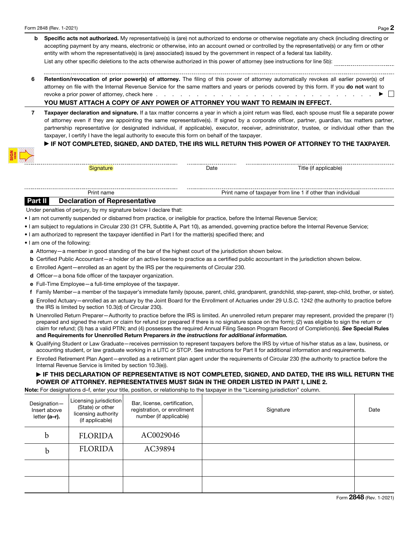- **b** Specific acts not authorized. My representative(s) is (are) not authorized to endorse or otherwise negotiate any check (including directing or accepting payment by any means, electronic or otherwise, into an account owned or controlled by the representative(s) or any firm or other entity with whom the representative(s) is (are) associated) issued by the government in respect of a federal tax liability. List any other specific deletions to the acts otherwise authorized in this power of attorney (see instructions for line 5b):
- 6 Retention/revocation of prior power(s) of attorney. The filing of this power of attorney automatically revokes all earlier power(s) of attorney on file with the Internal Revenue Service for the same matters and years or periods covered by this form. If you do not want to revoke a prior power of attorney, check here . . . . . . . . . . . . . . . . . . . . . . . . . . . ▶

#### YOU MUST ATTACH A COPY OF ANY POWER OF ATTORNEY YOU WANT TO REMAIN IN EFFECT.

7 Taxpayer declaration and signature. If a tax matter concerns a year in which a joint return was filed, each spouse must file a separate power of attorney even if they are appointing the same representative(s). If signed by a corporate officer, partner, guardian, tax matters partner, partnership representative (or designated individual, if applicable), executor, receiver, administrator, trustee, or individual other than the taxpayer, I certify I have the legal authority to execute this form on behalf of the taxpayer.

#### ▶ IF NOT COMPLETED, SIGNED, AND DATED, THE IRS WILL RETURN THIS POWER OF ATTORNEY TO THE TAXPAYER.

Signature **Date** Date **Date** Title (if applicable)

#### ------------------------Print name of taxpayer from line 1 if other than individual Print name of taxpayer from line 1 if other than individual Part II Declaration of Representative

Under penalties of perjury, by my signature below I declare that:

- I am not currently suspended or disbarred from practice, or ineligible for practice, before the Internal Revenue Service;
- I am subject to regulations in Circular 230 (31 CFR, Subtitle A, Part 10), as amended, governing practice before the Internal Revenue Service;

-----------------

• I am authorized to represent the taxpayer identified in Part I for the matter(s) specified there; and

• I am one of the following:

- a Attorney—a member in good standing of the bar of the highest court of the jurisdiction shown below.
- b Certified Public Accountant—a holder of an active license to practice as a certified public accountant in the jurisdiction shown below.
- c Enrolled Agent—enrolled as an agent by the IRS per the requirements of Circular 230.
- d Officer—a bona fide officer of the taxpayer organization.
- e Full-Time Employee—a full-time employee of the taxpayer.
- f Family Member—a member of the taxpayer's immediate family (spouse, parent, child, grandparent, grandchild, step-parent, step-child, brother, or sister).
- g Enrolled Actuary—enrolled as an actuary by the Joint Board for the Enrollment of Actuaries under 29 U.S.C. 1242 (the authority to practice before the IRS is limited by section 10.3(d) of Circular 230).
- h Unenrolled Return Preparer—Authority to practice before the IRS is limited. An unenrolled return preparer may represent, provided the preparer (1) prepared and signed the return or claim for refund (or prepared if there is no signature space on the form); (2) was eligible to sign the return or claim for refund; (3) has a valid PTIN; and (4) possesses the required Annual Filing Season Program Record of Completion(s). *See* Special Rules and Requirements for Unenrolled Return Preparers *in the instructions for additional information.*
- k Qualifying Student or Law Graduate—receives permission to represent taxpayers before the IRS by virtue of his/her status as a law, business, or accounting student, or law graduate working in a LITC or STCP. See instructions for Part II for additional information and requirements.
- r Enrolled Retirement Plan Agent—enrolled as a retirement plan agent under the requirements of Circular 230 (the authority to practice before the Internal Revenue Service is limited by section 10.3(e)).

#### ▶ IF THIS DECLARATION OF REPRESENTATIVE IS NOT COMPLETED, SIGNED, AND DATED, THE IRS WILL RETURN THE POWER OF ATTORNEY. REPRESENTATIVES MUST SIGN IN THE ORDER LISTED IN PART I, LINE 2.

Note: For designations d–f, enter your title, position, or relationship to the taxpayer in the "Licensing jurisdiction" column.

| Designation-<br>Insert above<br>letter (a-r). | Licensing jurisdiction<br>(State) or other<br>licensing authority<br>(if applicable) | Bar, license, certification,<br>registration, or enrollment<br>number (if applicable) | Signature | Date |
|-----------------------------------------------|--------------------------------------------------------------------------------------|---------------------------------------------------------------------------------------|-----------|------|
| b                                             | <b>FLORIDA</b>                                                                       | AC0029046                                                                             |           |      |
| $\mathbf b$                                   | <b>FLORIDA</b>                                                                       | AC39894                                                                               |           |      |
|                                               |                                                                                      |                                                                                       |           |      |
|                                               |                                                                                      |                                                                                       |           |      |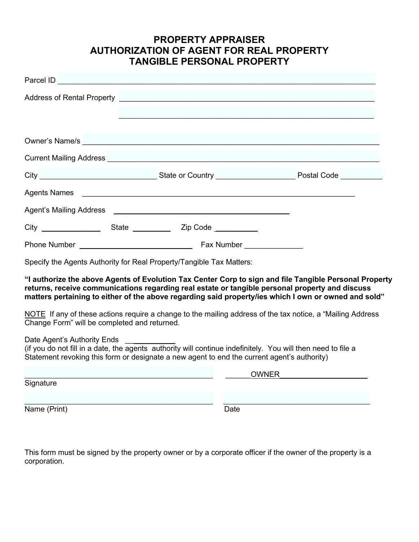### **PROPERTY APPRAISER AUTHORIZATION OF AGENT FOR REAL PROPERTY TANGIBLE PERSONAL PROPERTY**

|                                                                                                                            |                                                                                                                       | Owner's Name/s                                                                                                                                                                                                                                                                                                                                                                                                                   |  |  |
|----------------------------------------------------------------------------------------------------------------------------|-----------------------------------------------------------------------------------------------------------------------|----------------------------------------------------------------------------------------------------------------------------------------------------------------------------------------------------------------------------------------------------------------------------------------------------------------------------------------------------------------------------------------------------------------------------------|--|--|
|                                                                                                                            |                                                                                                                       | Current Mailing Address <b>Contract Contract Contract Contract Contract Contract Contract Contract Contract Contract Contract Contract Contract Contract Contract Contract Contract Contract Contract Contract Contract Contract</b>                                                                                                                                                                                             |  |  |
|                                                                                                                            |                                                                                                                       | City City City Collection Country City City Country City City Country City Country City Country City Country City Country City Country City Country City Country City Country City Country City Country City Country City City                                                                                                                                                                                                   |  |  |
| <b>Agents Names</b>                                                                                                        | <u> 1989 - Johann Barbara, martin amerikan basar dan berasal dan berasal dalam basar dalam basar dalam basar dala</u> |                                                                                                                                                                                                                                                                                                                                                                                                                                  |  |  |
|                                                                                                                            |                                                                                                                       |                                                                                                                                                                                                                                                                                                                                                                                                                                  |  |  |
|                                                                                                                            |                                                                                                                       |                                                                                                                                                                                                                                                                                                                                                                                                                                  |  |  |
|                                                                                                                            |                                                                                                                       |                                                                                                                                                                                                                                                                                                                                                                                                                                  |  |  |
| Specify the Agents Authority for Real Property/Tangible Tax Matters:                                                       |                                                                                                                       |                                                                                                                                                                                                                                                                                                                                                                                                                                  |  |  |
| Change Form" will be completed and returned.                                                                               |                                                                                                                       | "I authorize the above Agents of Evolution Tax Center Corp to sign and file Tangible Personal Property<br>returns, receive communications regarding real estate or tangible personal property and discuss<br>matters pertaining to either of the above regarding said property/ies which I own or owned and sold"<br>NOTE If any of these actions require a change to the mailing address of the tax notice, a "Mailing Address" |  |  |
| Date Agent's Authority Ends<br>Statement revoking this form or designate a new agent to end the current agent's authority) |                                                                                                                       | (if you do not fill in a date, the agents authority will continue indefinitely. You will then need to file a                                                                                                                                                                                                                                                                                                                     |  |  |
| Signature                                                                                                                  |                                                                                                                       | OWNER                                                                                                                                                                                                                                                                                                                                                                                                                            |  |  |
|                                                                                                                            |                                                                                                                       |                                                                                                                                                                                                                                                                                                                                                                                                                                  |  |  |
| Name (Print)                                                                                                               |                                                                                                                       | Date                                                                                                                                                                                                                                                                                                                                                                                                                             |  |  |

This form must be signed by the property owner or by a corporate officer if the owner of the property is a corporation.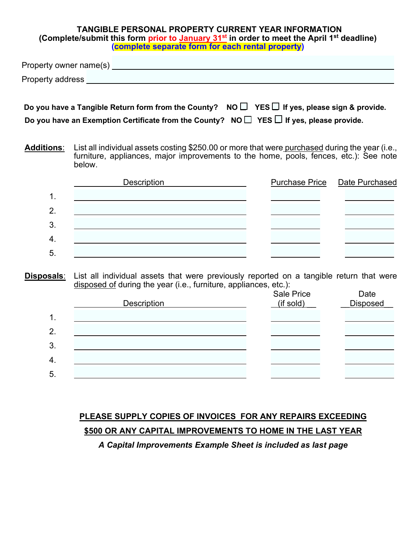#### **TANGIBLE PERSONAL PROPERTY CURRENT YEAR INFORMATION (Complete/submit this form prior to January 31st in order to meet the April 1st deadline) (complete separate form for each rental property)**

Property owner name(s) Property address **contained a contact of the contact of the contact of the contact of the contact of the contact of the contact of the contact of the contact of the contact of the contact of the contact of the contact of t** 

| Do you have a Tangible Return form from the County? NO $\Box$ YES $\Box$ If yes, please sign & provide. |  |
|---------------------------------------------------------------------------------------------------------|--|
| Do you have an Exemption Certificate from the County? NO $\Box$ YES $\Box$ If yes, please provide.      |  |

**Additions**: List all individual assets costing \$250.00 or more that were purchased during the year (i.e., furniture, appliances, major improvements to the home, pools, fences, etc.): See note below.

|               | <b>Description</b> | <b>Purchase Price Date Purchased</b> |
|---------------|--------------------|--------------------------------------|
| $\mathbf 1$ . |                    |                                      |
| 2.            |                    |                                      |
| 3.            |                    |                                      |
| 4.            |                    |                                      |
| 5.            |                    |                                      |

**Disposals**: List all individual assets that were previously reported on a tangible return that were disposed of during the year (i.e., furniture, appliances, etc.):

|    | <b>Description</b> | <b>Sale Price</b><br>(if sold) | Date<br><b>Disposed</b> |
|----|--------------------|--------------------------------|-------------------------|
| 1. |                    |                                |                         |
| 2. |                    |                                |                         |
| 3. |                    |                                |                         |
| 4. |                    |                                |                         |
| 5. |                    |                                |                         |

# **PLEASE SUPPLY COPIES OF INVOICES FOR ANY REPAIRS EXCEEDING \$500 OR ANY CAPITAL IMPROVEMENTS TO HOME IN THE LAST YEAR**

*A Capital Improvements Example Sheet is included as last page*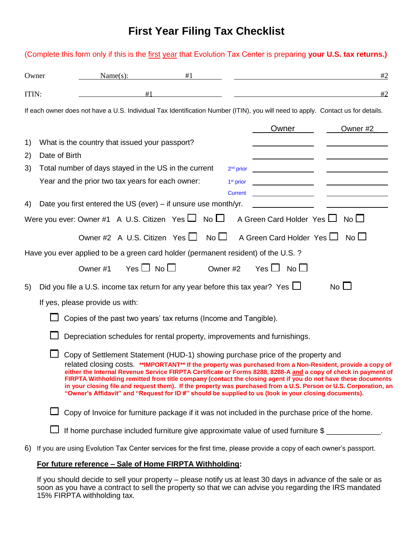## **First Year Filing Tax Checklist**

(Complete this form only if this is the first year that Evolution Tax Center is preparing **your U.S. tax returns.)**

# Owner Name(s):  $\#1$   $\#2$ ITIN:  $\#1$   $\qquad \qquad \#2$ If each owner does not have a U.S. Individual Tax Identification Number (ITIN), you will need to apply. Contact us for details. Owner Cwner #2 1) What is the country that issued your passport? 2) Date of Birth 3) Total number of days stayed in the US in the current  $2<sup>nd</sup> prior$ Year and the prior two tax years for each owner:  $1<sup>st</sup> prior$ **Current** 4) Date you first entered the US (ever) – if unsure use month/yr. Were you ever: Owner #1 A U.S. Citizen Yes  $\Box$  No  $\Box$  A Green Card Holder Yes  $\Box$  No  $\Box$ Owner #2 A U.S. Citizen Yes  $\Box$  No  $\Box$  A Green Card Holder Yes  $\Box$  No  $\Box$ Have you ever applied to be a green card holder (permanent resident) of the U.S. ? Owner #1 Yes  $\Box$  No  $\Box$  Owner #2 Yes  $\Box$  No  $\Box$ 5) Did you file a U.S. income tax return for any year before this tax year? Yes  $\Box$  No  $\Box$ If yes, please provide us with:  $\Box$  Copies of the past two years' tax returns (Income and Tangible).  $\Box$  Depreciation schedules for rental property, improvements and furnishings.  $\Box$  Copy of Settlement Statement (HUD-1) showing purchase price of the property and related closing costs. **\*\*IMPORTANT\*\* If the property was purchased from a Non-Resident, provide a copy of either the Internal Revenue Service FIRPTA Certificate or Forms 8288, 8288-A and a copy of check in payment of FIRPTA Withholding remitted from title company (contact the closing agent if you do not have these documents in your closing file and request them). If the property was purchased from a U.S. Person or U.S. Corporation, an "Owner's Affidavit" and "Request for ID #" should be supplied to us (look in your closing documents).**  $\Box$  Copy of Invoice for furniture package if it was not included in the purchase price of the home. If home purchase included furniture give approximate value of used furniture  $\frac{1}{2}$

6) If you are using Evolution Tax Center services for the first time, please provide a copy of each owner's passport.

#### **For future reference – Sale of Home FIRPTA Withholding:**

If you should decide to sell your property – please notify us at least 30 days in advance of the sale or as soon as you have a contract to sell the property so that we can advise you regarding the IRS mandated 15% FIRPTA withholding tax.